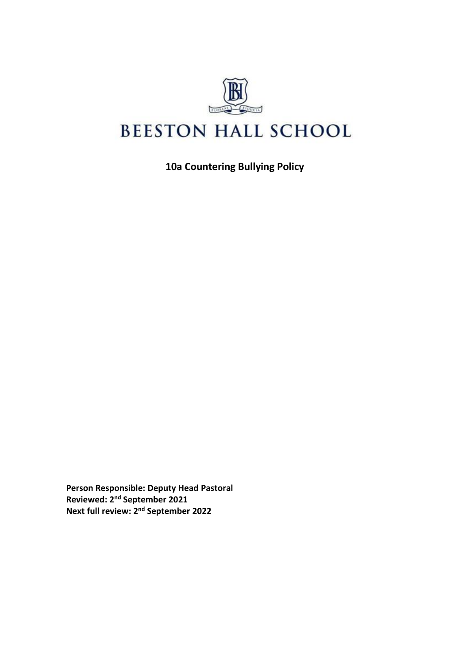

**10a Countering Bullying Policy**

**Person Responsible: Deputy Head Pastoral Reviewed: 2 nd September 2021 Next full review: 2 nd September 2022**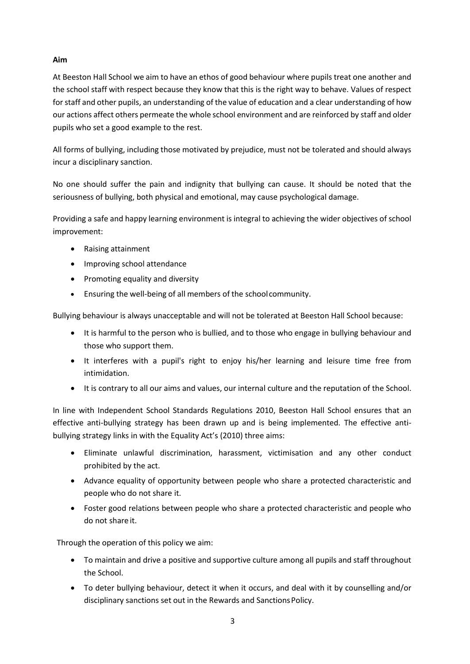# **Aim**

At Beeston Hall School we aim to have an ethos of good behaviour where pupils treat one another and the school staff with respect because they know that this is the right way to behave. Values of respect for staff and other pupils, an understanding of the value of education and a clear understanding of how our actions affect others permeate the whole school environment and are reinforced by staff and older pupils who set a good example to the rest.

All forms of bullying, including those motivated by prejudice, must not be tolerated and should always incur a disciplinary sanction.

No one should suffer the pain and indignity that bullying can cause. It should be noted that the seriousness of bullying, both physical and emotional, may cause psychological damage.

Providing a safe and happy learning environment is integral to achieving the wider objectives of school improvement:

- Raising attainment
- Improving school attendance
- Promoting equality and diversity
- Ensuring the well-being of all members of the schoolcommunity.

Bullying behaviour is always unacceptable and will not be tolerated at Beeston Hall School because:

- It is harmful to the person who is bullied, and to those who engage in bullying behaviour and those who support them.
- It interferes with a pupil's right to enjoy his/her learning and leisure time free from intimidation.
- It is contrary to all our aims and values, our internal culture and the reputation of the School.

In line with Independent School Standards Regulations 2010, Beeston Hall School ensures that an effective anti-bullying strategy has been drawn up and is being implemented. The effective antibullying strategy links in with the Equality Act's (2010) three aims:

- Eliminate unlawful discrimination, harassment, victimisation and any other conduct prohibited by the act.
- Advance equality of opportunity between people who share a protected characteristic and people who do not share it.
- Foster good relations between people who share a protected characteristic and people who do not share it.

Through the operation of this policy we aim:

- To maintain and drive a positive and supportive culture among all pupils and staff throughout the School.
- To deter bullying behaviour, detect it when it occurs, and deal with it by counselling and/or disciplinary sanctions set out in the Rewards and SanctionsPolicy.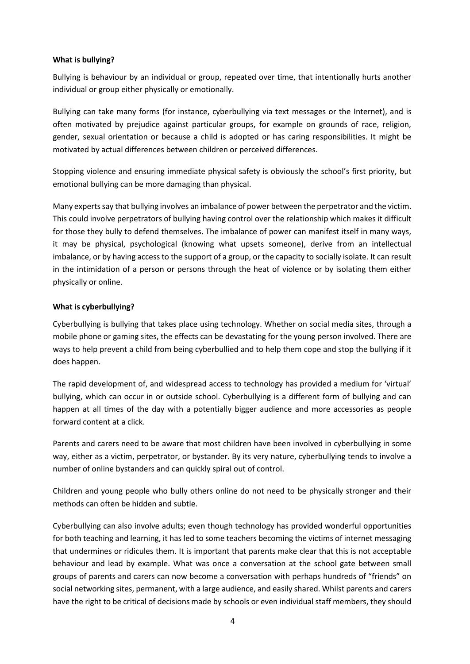#### **What is bullying?**

Bullying is behaviour by an individual or group, repeated over time, that intentionally hurts another individual or group either physically or emotionally.

Bullying can take many forms (for instance, cyberbullying via text messages or the Internet), and is often motivated by prejudice against particular groups, for example on grounds of race, religion, gender, sexual orientation or because a child is adopted or has caring responsibilities. It might be motivated by actual differences between children or perceived differences.

Stopping violence and ensuring immediate physical safety is obviously the school's first priority, but emotional bullying can be more damaging than physical.

Many experts say that bullying involves an imbalance of power between the perpetrator and the victim. This could involve perpetrators of bullying having control over the relationship which makes it difficult for those they bully to defend themselves. The imbalance of power can manifest itself in many ways, it may be physical, psychological (knowing what upsets someone), derive from an intellectual imbalance, or by having access to the support of a group, or the capacity to socially isolate. It can result in the intimidation of a person or persons through the heat of violence or by isolating them either physically or online.

#### **What is cyberbullying?**

Cyberbullying is bullying that takes place using technology. Whether on social media sites, through a mobile phone or gaming sites, the effects can be devastating for the young person involved. There are ways to help prevent a child from being cyberbullied and to help them cope and stop the bullying if it does happen.

The rapid development of, and widespread access to technology has provided a medium for 'virtual' bullying, which can occur in or outside school. Cyberbullying is a different form of bullying and can happen at all times of the day with a potentially bigger audience and more accessories as people forward content at a click.

Parents and carers need to be aware that most children have been involved in cyberbullying in some way, either as a victim, perpetrator, or bystander. By its very nature, cyberbullying tends to involve a number of online bystanders and can quickly spiral out of control.

Children and young people who bully others online do not need to be physically stronger and their methods can often be hidden and subtle.

Cyberbullying can also involve adults; even though technology has provided wonderful opportunities for both teaching and learning, it has led to some teachers becoming the victims of internet messaging that undermines or ridicules them. It is important that parents make clear that this is not acceptable behaviour and lead by example. What was once a conversation at the school gate between small groups of parents and carers can now become a conversation with perhaps hundreds of "friends" on social networking sites, permanent, with a large audience, and easily shared. Whilst parents and carers have the right to be critical of decisions made by schools or even individual staff members, they should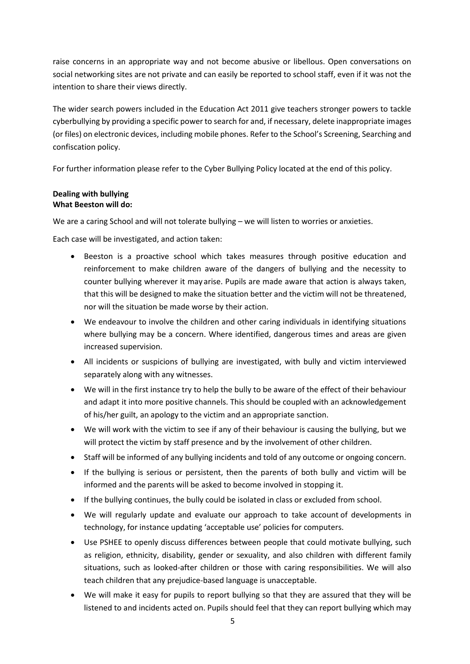raise concerns in an appropriate way and not become abusive or libellous. Open conversations on social networking sites are not private and can easily be reported to school staff, even if it was not the intention to share their views directly.

The wider search powers included in the Education Act 2011 give teachers stronger powers to tackle cyberbullying by providing a specific power to search for and, if necessary, delete inappropriate images (or files) on electronic devices, including mobile phones. Refer to the School's Screening, Searching and confiscation policy.

For further information please refer to the Cyber Bullying Policy located at the end of this policy.

#### **Dealing with bullying What Beeston will do:**

We are a caring School and will not tolerate bullying – we will listen to worries or anxieties.

Each case will be investigated, and action taken:

- Beeston is a proactive school which takes measures through positive education and reinforcement to make children aware of the dangers of bullying and the necessity to counter bullying wherever it may arise. Pupils are made aware that action is always taken, that this will be designed to make the situation better and the victim will not be threatened, nor will the situation be made worse by their action.
- We endeavour to involve the children and other caring individuals in identifying situations where bullying may be a concern. Where identified, dangerous times and areas are given increased supervision.
- All incidents or suspicions of bullying are investigated, with bully and victim interviewed separately along with any witnesses.
- We will in the first instance try to help the bully to be aware of the effect of their behaviour and adapt it into more positive channels. This should be coupled with an acknowledgement of his/her guilt, an apology to the victim and an appropriate sanction.
- We will work with the victim to see if any of their behaviour is causing the bullying, but we will protect the victim by staff presence and by the involvement of other children.
- Staff will be informed of any bullying incidents and told of any outcome or ongoing concern.
- If the bullying is serious or persistent, then the parents of both bully and victim will be informed and the parents will be asked to become involved in stopping it.
- If the bullying continues, the bully could be isolated in class or excluded from school.
- We will regularly update and evaluate our approach to take account of developments in technology, for instance updating 'acceptable use' policies for computers.
- Use PSHEE to openly discuss differences between people that could motivate bullying, such as religion, ethnicity, disability, gender or sexuality, and also children with different family situations, such as looked-after children or those with caring responsibilities. We will also teach children that any prejudice-based language is unacceptable.
- We will make it easy for pupils to report bullying so that they are assured that they will be listened to and incidents acted on. Pupils should feel that they can report bullying which may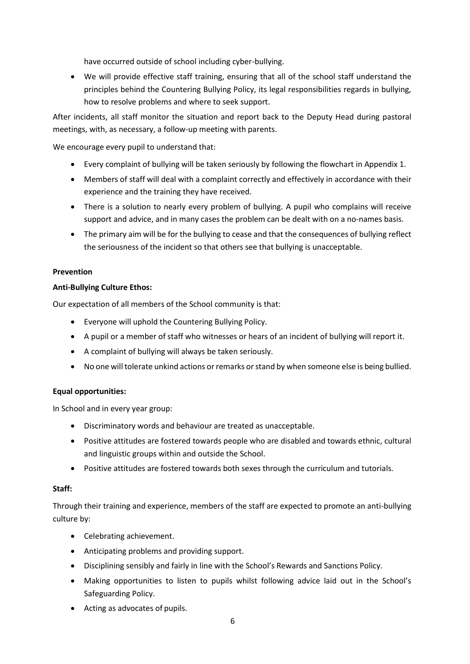have occurred outside of school including cyber-bullying.

• We will provide effective staff training, ensuring that all of the school staff understand the principles behind the Countering Bullying Policy, its legal responsibilities regards in bullying, how to resolve problems and where to seek support.

After incidents, all staff monitor the situation and report back to the Deputy Head during pastoral meetings, with, as necessary, a follow-up meeting with parents.

We encourage every pupil to understand that:

- Every complaint of bullying will be taken seriously by following the flowchart in Appendix 1.
- Members of staff will deal with a complaint correctly and effectively in accordance with their experience and the training they have received.
- There is a solution to nearly every problem of bullying. A pupil who complains will receive support and advice, and in many cases the problem can be dealt with on a no-names basis.
- The primary aim will be for the bullying to cease and that the consequences of bullying reflect the seriousness of the incident so that others see that bullying is unacceptable.

# **Prevention**

#### **Anti-Bullying Culture Ethos:**

Our expectation of all members of the School community is that:

- Everyone will uphold the Countering Bullying Policy.
- A pupil or a member of staff who witnesses or hears of an incident of bullying will report it.
- A complaint of bullying will always be taken seriously.
- No one will tolerate unkind actions or remarks or stand by when someone else is being bullied.

#### **Equal opportunities:**

In School and in every year group:

- Discriminatory words and behaviour are treated as unacceptable.
- Positive attitudes are fostered towards people who are disabled and towards ethnic, cultural and linguistic groups within and outside the School.
- Positive attitudes are fostered towards both sexes through the curriculum and tutorials.

#### **Staff:**

Through their training and experience, members of the staff are expected to promote an anti-bullying culture by:

- Celebrating achievement.
- Anticipating problems and providing support.
- Disciplining sensibly and fairly in line with the School's Rewards and Sanctions Policy.
- Making opportunities to listen to pupils whilst following advice laid out in the School's Safeguarding Policy.
- Acting as advocates of pupils.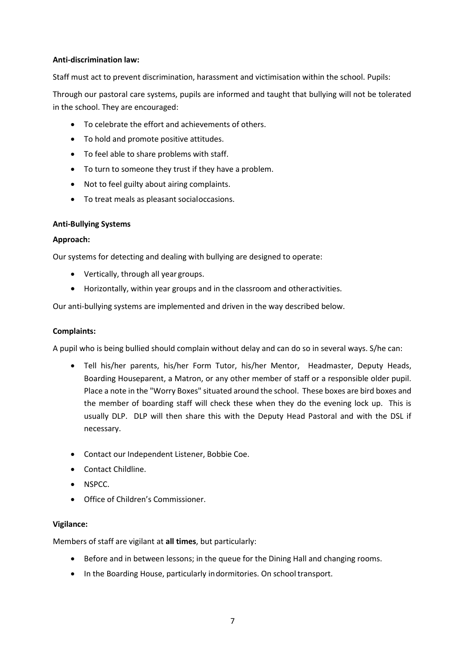# **Anti-discrimination law:**

Staff must act to prevent discrimination, harassment and victimisation within the school. Pupils:

Through our pastoral care systems, pupils are informed and taught that bullying will not be tolerated in the school. They are encouraged:

- To celebrate the effort and achievements of others.
- To hold and promote positive attitudes.
- To feel able to share problems with staff.
- To turn to someone they trust if they have a problem.
- Not to feel guilty about airing complaints.
- To treat meals as pleasant socialoccasions.

#### **Anti-Bullying Systems**

#### **Approach:**

Our systems for detecting and dealing with bullying are designed to operate:

- Vertically, through all year groups.
- Horizontally, within year groups and in the classroom and otheractivities.

Our anti-bullying systems are implemented and driven in the way described below.

# **Complaints:**

A pupil who is being bullied should complain without delay and can do so in several ways. S/he can:

- Tell his/her parents, his/her Form Tutor, his/her Mentor, Headmaster, Deputy Heads, Boarding Houseparent, a Matron, or any other member of staff or a responsible older pupil. Place a note in the "Worry Boxes" situated around the school. These boxes are bird boxes and the member of boarding staff will check these when they do the evening lock up. This is usually DLP. DLP will then share this with the Deputy Head Pastoral and with the DSL if necessary.
- Contact our Independent Listener, Bobbie Coe.
- Contact Childline.
- NSPCC.
- Office of Children's Commissioner.

#### **Vigilance:**

Members of staff are vigilant at **all times**, but particularly:

- Before and in between lessons; in the queue for the Dining Hall and changing rooms.
- In the Boarding House, particularly indormitories. On school transport.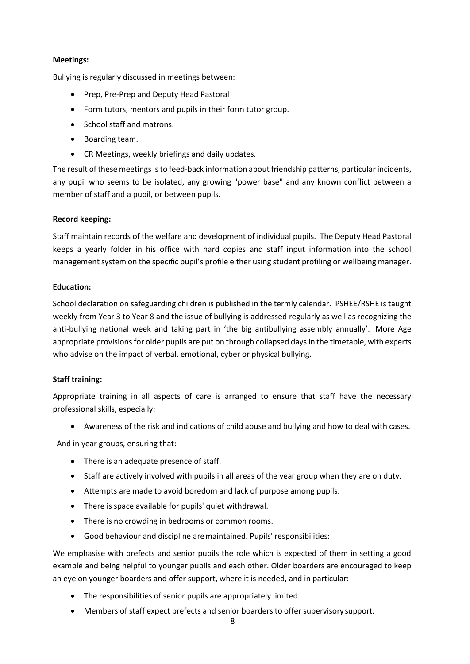# **Meetings:**

Bullying is regularly discussed in meetings between:

- Prep, Pre-Prep and Deputy Head Pastoral
- Form tutors, mentors and pupils in their form tutor group.
- School staff and matrons.
- Boarding team.
- CR Meetings, weekly briefings and daily updates.

The result of these meetings is to feed-back information about friendship patterns, particular incidents, any pupil who seems to be isolated, any growing "power base" and any known conflict between a member of staff and a pupil, or between pupils.

#### **Record keeping:**

Staff maintain records of the welfare and development of individual pupils. The Deputy Head Pastoral keeps a yearly folder in his office with hard copies and staff input information into the school management system on the specific pupil's profile either using student profiling or wellbeing manager.

#### **Education:**

School declaration on safeguarding children is published in the termly calendar. PSHEE/RSHE is taught weekly from Year 3 to Year 8 and the issue of bullying is addressed regularly as well as recognizing the anti-bullying national week and taking part in 'the big antibullying assembly annually'. More Age appropriate provisions for older pupils are put on through collapsed days in the timetable, with experts who advise on the impact of verbal, emotional, cyber or physical bullying.

# **Staff training:**

Appropriate training in all aspects of care is arranged to ensure that staff have the necessary professional skills, especially:

• Awareness of the risk and indications of child abuse and bullying and how to deal with cases.

And in year groups, ensuring that:

- There is an adequate presence of staff.
- Staff are actively involved with pupils in all areas of the year group when they are on duty.
- Attempts are made to avoid boredom and lack of purpose among pupils.
- There is space available for pupils' quiet withdrawal.
- There is no crowding in bedrooms or common rooms.
- Good behaviour and discipline aremaintained. Pupils' responsibilities:

We emphasise with prefects and senior pupils the role which is expected of them in setting a good example and being helpful to younger pupils and each other. Older boarders are encouraged to keep an eye on younger boarders and offer support, where it is needed, and in particular:

- The responsibilities of senior pupils are appropriately limited.
- Members of staff expect prefects and senior boarders to offer supervisory support.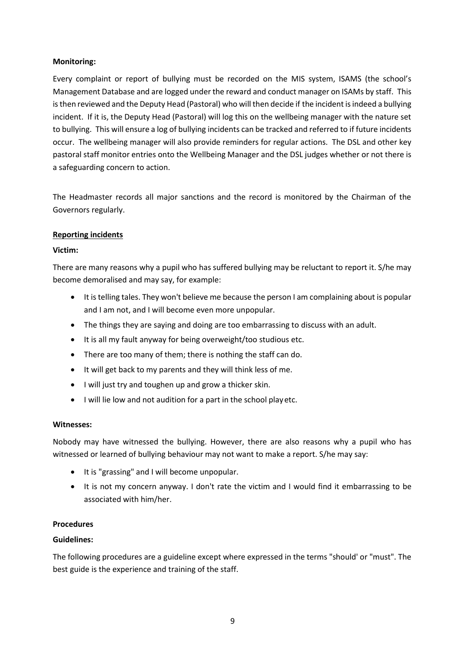# **Monitoring:**

Every complaint or report of bullying must be recorded on the MIS system, ISAMS (the school's Management Database and are logged under the reward and conduct manager on ISAMs by staff. This isthen reviewed and the Deputy Head (Pastoral) who will then decide if the incident is indeed a bullying incident. If it is, the Deputy Head (Pastoral) will log this on the wellbeing manager with the nature set to bullying. This will ensure a log of bullying incidents can be tracked and referred to if future incidents occur. The wellbeing manager will also provide reminders for regular actions. The DSL and other key pastoral staff monitor entries onto the Wellbeing Manager and the DSL judges whether or not there is a safeguarding concern to action.

The Headmaster records all major sanctions and the record is monitored by the Chairman of the Governors regularly.

#### **Reporting incidents**

#### **Victim:**

There are many reasons why a pupil who has suffered bullying may be reluctant to report it. S/he may become demoralised and may say, for example:

- It is telling tales. They won't believe me because the person I am complaining about is popular and I am not, and I will become even more unpopular.
- The things they are saying and doing are too embarrassing to discuss with an adult.
- It is all my fault anyway for being overweight/too studious etc.
- There are too many of them; there is nothing the staff can do.
- It will get back to my parents and they will think less of me.
- I will just try and toughen up and grow a thicker skin.
- I will lie low and not audition for a part in the school playetc.

#### **Witnesses:**

Nobody may have witnessed the bullying. However, there are also reasons why a pupil who has witnessed or learned of bullying behaviour may not want to make a report. S/he may say:

- It is "grassing" and I will become unpopular.
- It is not my concern anyway. I don't rate the victim and I would find it embarrassing to be associated with him/her.

#### **Procedures**

# **Guidelines:**

The following procedures are a guideline except where expressed in the terms "should' or "must". The best guide is the experience and training of the staff.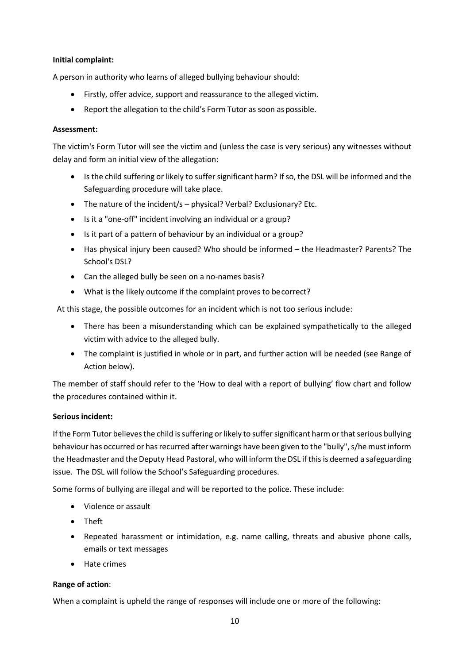# **Initial complaint:**

A person in authority who learns of alleged bullying behaviour should:

- Firstly, offer advice, support and reassurance to the alleged victim.
- Report the allegation to the child's Form Tutor as soon aspossible.

#### **Assessment:**

The victim's Form Tutor will see the victim and (unless the case is very serious) any witnesses without delay and form an initial view of the allegation:

- Is the child suffering or likely to suffer significant harm? If so, the DSL will be informed and the Safeguarding procedure will take place.
- The nature of the incident/s physical? Verbal? Exclusionary? Etc.
- Is it a "one-off" incident involving an individual or a group?
- Is it part of a pattern of behaviour by an individual or a group?
- Has physical injury been caused? Who should be informed the Headmaster? Parents? The School's DSL?
- Can the alleged bully be seen on a no-names basis?
- What is the likely outcome if the complaint proves to becorrect?

At this stage, the possible outcomes for an incident which is not too serious include:

- There has been a misunderstanding which can be explained sympathetically to the alleged victim with advice to the alleged bully.
- The complaint is justified in whole or in part, and further action will be needed (see Range of Action below).

The member of staff should refer to the 'How to deal with a report of bullying' flow chart and follow the procedures contained within it.

# **Serious incident:**

If the Form Tutor believesthe child is suffering or likely to suffer significant harm or that serious bullying behaviour has occurred or has recurred after warnings have been given to the "bully", s/he must inform the Headmaster and the Deputy Head Pastoral, who will inform the DSL if this is deemed a safeguarding issue. The DSL will follow the School's Safeguarding procedures.

Some forms of bullying are illegal and will be reported to the police. These include:

- Violence or assault
- Theft
- Repeated harassment or intimidation, e.g. name calling, threats and abusive phone calls, emails or text messages
- Hate crimes

# **Range of action**:

When a complaint is upheld the range of responses will include one or more of the following: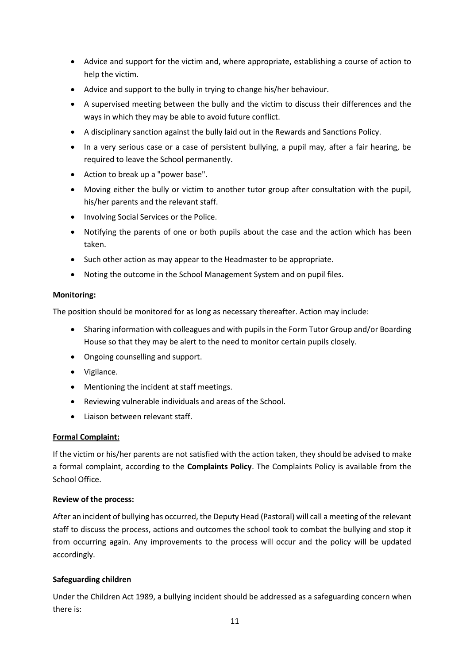- Advice and support for the victim and, where appropriate, establishing a course of action to help the victim.
- Advice and support to the bully in trying to change his/her behaviour.
- A supervised meeting between the bully and the victim to discuss their differences and the ways in which they may be able to avoid future conflict.
- A disciplinary sanction against the bully laid out in the Rewards and Sanctions Policy.
- In a very serious case or a case of persistent bullying, a pupil may, after a fair hearing, be required to leave the School permanently.
- Action to break up a "power base".
- Moving either the bully or victim to another tutor group after consultation with the pupil, his/her parents and the relevant staff.
- Involving Social Services or the Police.
- Notifying the parents of one or both pupils about the case and the action which has been taken.
- Such other action as may appear to the Headmaster to be appropriate.
- Noting the outcome in the School Management System and on pupil files.

#### **Monitoring:**

The position should be monitored for as long as necessary thereafter. Action may include:

- Sharing information with colleagues and with pupils in the Form Tutor Group and/or Boarding House so that they may be alert to the need to monitor certain pupils closely.
- Ongoing counselling and support.
- Vigilance.
- Mentioning the incident at staff meetings.
- Reviewing vulnerable individuals and areas of the School.
- Liaison between relevant staff.

# **Formal Complaint:**

If the victim or his/her parents are not satisfied with the action taken, they should be advised to make a formal complaint, according to the **Complaints Policy**. The Complaints Policy is available from the School Office.

#### **Review of the process:**

After an incident of bullying has occurred, the Deputy Head (Pastoral) will call a meeting of the relevant staff to discuss the process, actions and outcomes the school took to combat the bullying and stop it from occurring again. Any improvements to the process will occur and the policy will be updated accordingly.

# **Safeguarding children**

Under the Children Act 1989, a bullying incident should be addressed as a safeguarding concern when there is: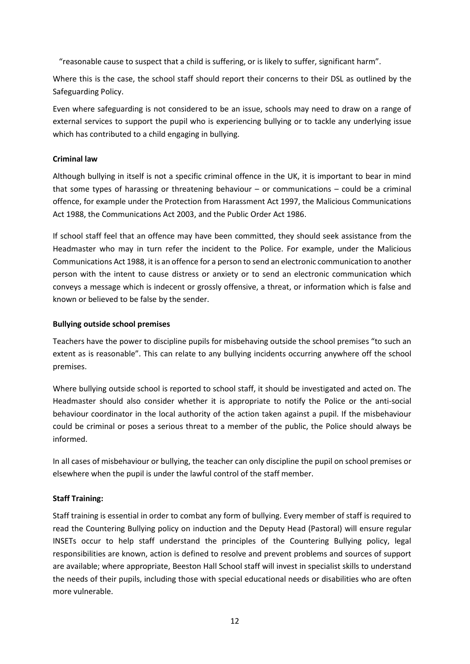"reasonable cause to suspect that a child is suffering, or is likely to suffer, significant harm".

Where this is the case, the school staff should report their concerns to their DSL as outlined by the Safeguarding Policy.

Even where safeguarding is not considered to be an issue, schools may need to draw on a range of external services to support the pupil who is experiencing bullying or to tackle any underlying issue which has contributed to a child engaging in bullying.

#### **Criminal law**

Although bullying in itself is not a specific criminal offence in the UK, it is important to bear in mind that some types of harassing or threatening behaviour – or communications – could be a criminal offence, for example under the Protection from Harassment Act 1997, the Malicious Communications Act 1988, the Communications Act 2003, and the Public Order Act 1986.

If school staff feel that an offence may have been committed, they should seek assistance from the Headmaster who may in turn refer the incident to the Police. For example, under the Malicious Communications Act 1988, it is an offence for a person to send an electronic communication to another person with the intent to cause distress or anxiety or to send an electronic communication which conveys a message which is indecent or grossly offensive, a threat, or information which is false and known or believed to be false by the sender.

#### **Bullying outside school premises**

Teachers have the power to discipline pupils for misbehaving outside the school premises "to such an extent as is reasonable". This can relate to any bullying incidents occurring anywhere off the school premises.

Where bullying outside school is reported to school staff, it should be investigated and acted on. The Headmaster should also consider whether it is appropriate to notify the Police or the anti-social behaviour coordinator in the local authority of the action taken against a pupil. If the misbehaviour could be criminal or poses a serious threat to a member of the public, the Police should always be informed.

In all cases of misbehaviour or bullying, the teacher can only discipline the pupil on school premises or elsewhere when the pupil is under the lawful control of the staff member.

# **Staff Training:**

Staff training is essential in order to combat any form of bullying. Every member of staff is required to read the Countering Bullying policy on induction and the Deputy Head (Pastoral) will ensure regular INSETs occur to help staff understand the principles of the Countering Bullying policy, legal responsibilities are known, action is defined to resolve and prevent problems and sources of support are available; where appropriate, Beeston Hall School staff will invest in specialist skills to understand the needs of their pupils, including those with special educational needs or disabilities who are often more vulnerable.